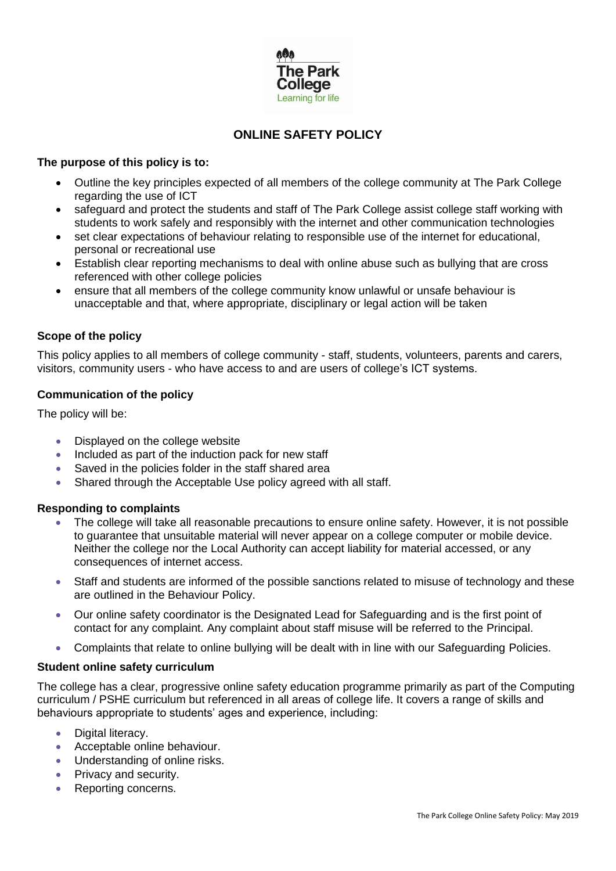

# **ONLINE SAFETY POLICY**

### **The purpose of this policy is to:**

- Outline the key principles expected of all members of the college community at The Park College regarding the use of ICT
- safeguard and protect the students and staff of The Park College assist college staff working with students to work safely and responsibly with the internet and other communication technologies
- set clear expectations of behaviour relating to responsible use of the internet for educational, personal or recreational use
- Establish clear reporting mechanisms to deal with online abuse such as bullying that are cross referenced with other college policies
- ensure that all members of the college community know unlawful or unsafe behaviour is unacceptable and that, where appropriate, disciplinary or legal action will be taken

# **Scope of the policy**

This policy applies to all members of college community - staff, students, volunteers, parents and carers, visitors, community users - who have access to and are users of college's ICT systems.

### **Communication of the policy**

The policy will be:

- Displayed on the college website
- Included as part of the induction pack for new staff
- Saved in the policies folder in the staff shared area
- Shared through the Acceptable Use policy agreed with all staff.

#### **Responding to complaints**

- The college will take all reasonable precautions to ensure online safety. However, it is not possible to guarantee that unsuitable material will never appear on a college computer or mobile device. Neither the college nor the Local Authority can accept liability for material accessed, or any consequences of internet access.
- Staff and students are informed of the possible sanctions related to misuse of technology and these are outlined in the Behaviour Policy.
- Our online safety coordinator is the Designated Lead for Safeguarding and is the first point of contact for any complaint. Any complaint about staff misuse will be referred to the Principal.
- Complaints that relate to online bullying will be dealt with in line with our Safeguarding Policies.

#### **Student online safety curriculum**

The college has a clear, progressive online safety education programme primarily as part of the Computing curriculum / PSHE curriculum but referenced in all areas of college life. It covers a range of skills and behaviours appropriate to students' ages and experience, including:

- Digital literacy.
- **Acceptable online behaviour.**
- Understanding of online risks.
- Privacy and security.
- Reporting concerns.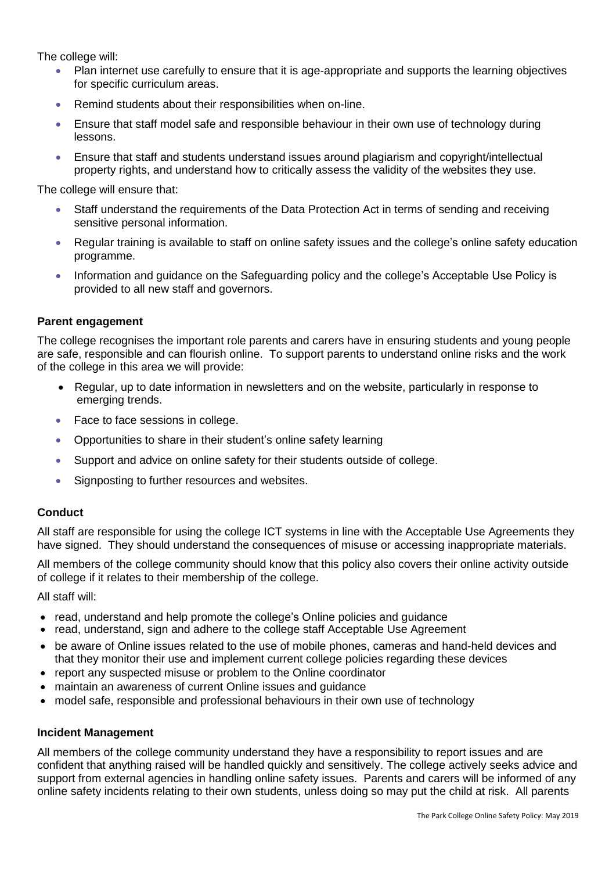The college will:

- Plan internet use carefully to ensure that it is age-appropriate and supports the learning objectives for specific curriculum areas.
- Remind students about their responsibilities when on-line.
- Ensure that staff model safe and responsible behaviour in their own use of technology during lessons.
- Ensure that staff and students understand issues around plagiarism and copyright/intellectual property rights, and understand how to critically assess the validity of the websites they use.

The college will ensure that:

- Staff understand the requirements of the Data Protection Act in terms of sending and receiving sensitive personal information.
- Regular training is available to staff on online safety issues and the college's online safety education programme.
- Information and guidance on the Safeguarding policy and the college's Acceptable Use Policy is provided to all new staff and governors.

### **Parent engagement**

The college recognises the important role parents and carers have in ensuring students and young people are safe, responsible and can flourish online. To support parents to understand online risks and the work of the college in this area we will provide:

- Regular, up to date information in newsletters and on the website, particularly in response to emerging trends.
- Face to face sessions in college.
- Opportunities to share in their student's online safety learning
- Support and advice on online safety for their students outside of college.
- Signposting to further resources and websites.

#### **Conduct**

All staff are responsible for using the college ICT systems in line with the Acceptable Use Agreements they have signed. They should understand the consequences of misuse or accessing inappropriate materials.

All members of the college community should know that this policy also covers their online activity outside of college if it relates to their membership of the college.

All staff will:

- read, understand and help promote the college's Online policies and guidance
- read, understand, sign and adhere to the college staff Acceptable Use Agreement
- be aware of Online issues related to the use of mobile phones, cameras and hand-held devices and that they monitor their use and implement current college policies regarding these devices
- report any suspected misuse or problem to the Online coordinator
- maintain an awareness of current Online issues and guidance
- model safe, responsible and professional behaviours in their own use of technology

#### **Incident Management**

All members of the college community understand they have a responsibility to report issues and are confident that anything raised will be handled quickly and sensitively. The college actively seeks advice and support from external agencies in handling online safety issues. Parents and carers will be informed of any online safety incidents relating to their own students, unless doing so may put the child at risk. All parents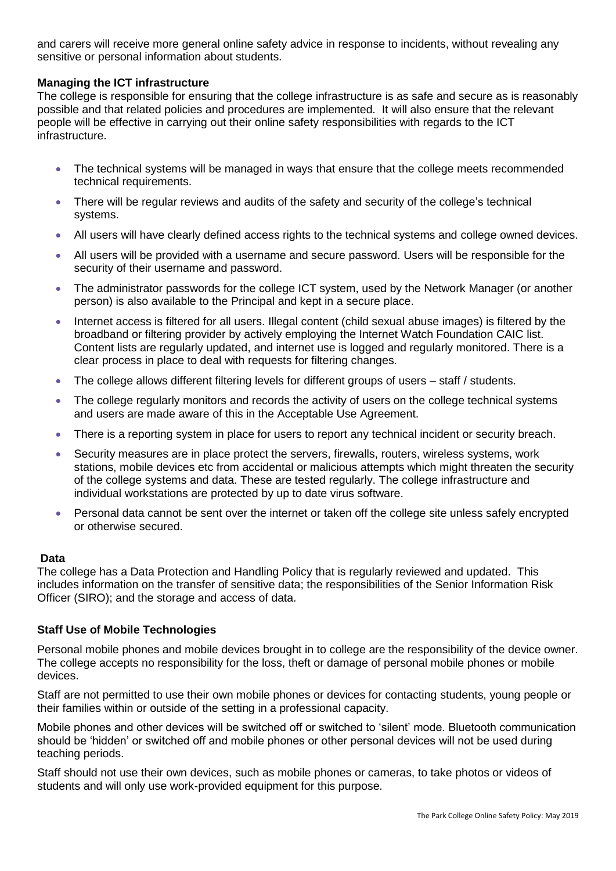and carers will receive more general online safety advice in response to incidents, without revealing any sensitive or personal information about students.

# **Managing the ICT infrastructure**

The college is responsible for ensuring that the college infrastructure is as safe and secure as is reasonably possible and that related policies and procedures are implemented. It will also ensure that the relevant people will be effective in carrying out their online safety responsibilities with regards to the ICT infrastructure.

- The technical systems will be managed in ways that ensure that the college meets recommended technical requirements.
- There will be regular reviews and audits of the safety and security of the college's technical systems.
- All users will have clearly defined access rights to the technical systems and college owned devices.
- All users will be provided with a username and secure password. Users will be responsible for the security of their username and password.
- The administrator passwords for the college ICT system, used by the Network Manager (or another person) is also available to the Principal and kept in a secure place.
- Internet access is filtered for all users. Illegal content (child sexual abuse images) is filtered by the broadband or filtering provider by actively employing the Internet Watch Foundation CAIC list. Content lists are regularly updated, and internet use is logged and regularly monitored. There is a clear process in place to deal with requests for filtering changes.
- The college allows different filtering levels for different groups of users staff / students.
- The college regularly monitors and records the activity of users on the college technical systems and users are made aware of this in the Acceptable Use Agreement.
- There is a reporting system in place for users to report any technical incident or security breach.
- Security measures are in place protect the servers, firewalls, routers, wireless systems, work stations, mobile devices etc from accidental or malicious attempts which might threaten the security of the college systems and data. These are tested regularly. The college infrastructure and individual workstations are protected by up to date virus software.
- Personal data cannot be sent over the internet or taken off the college site unless safely encrypted or otherwise secured.

#### **Data**

The college has a Data Protection and Handling Policy that is regularly reviewed and updated. This includes information on the transfer of sensitive data; the responsibilities of the Senior Information Risk Officer (SIRO); and the storage and access of data.

# **Staff Use of Mobile Technologies**

Personal mobile phones and mobile devices brought in to college are the responsibility of the device owner. The college accepts no responsibility for the loss, theft or damage of personal mobile phones or mobile devices.

Staff are not permitted to use their own mobile phones or devices for contacting students, young people or their families within or outside of the setting in a professional capacity.

Mobile phones and other devices will be switched off or switched to 'silent' mode. Bluetooth communication should be 'hidden' or switched off and mobile phones or other personal devices will not be used during teaching periods.

Staff should not use their own devices, such as mobile phones or cameras, to take photos or videos of students and will only use work-provided equipment for this purpose.